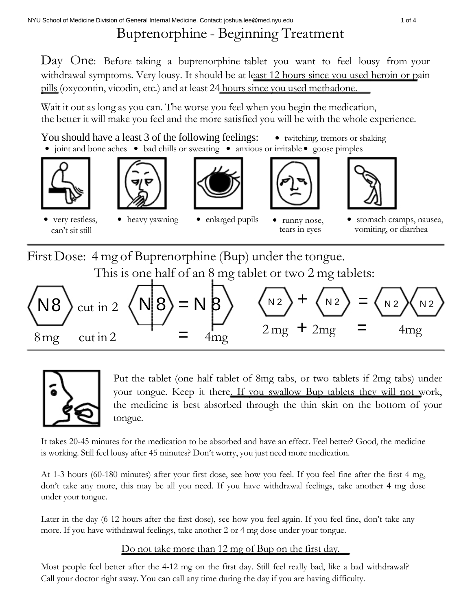## Buprenorphine - Beginning Treatment

Day One: Before taking a buprenorphine tablet you want to feel lousy from your withdrawal symptoms. Very lousy. It should be at least 12 hours since you used heroin or pain pills (oxycontin, vicodin, etc.) and at least 24 hours since you used methadone.

Wait it out as long as you can. The worse you feel when you begin the medication, the better it will make you feel and the more satisfied you will be with the whole experience.

You should have a least 3 of the following feelings: • twitching, tremors or shaking ● joint and bone aches ● bad chills or sweating ● anxious or irritable ● goose pimples













very restless, • heavy yawning • enlarged pupils • runny nose, • stomach cramps, nausea, can't sit still tears in eyes vomiting, or diarrhea

First Dose: 4 mg of Buprenorphine (Bup) under the tongue. This is one half of an 8 mg tablet or two 2 mg tablets:





Put the tablet (one half tablet of 8mg tabs, or two tablets if 2mg tabs) under your tongue. Keep it there. If you swallow Bup tablets they will not work, the medicine is best absorbed through the thin skin on the bottom of your tongue.

It takes 20-45 minutes for the medication to be absorbed and have an effect. Feel better? Good, the medicine is working. Still feel lousy after 45 minutes? Don't worry, you just need more medication.

At 1-3 hours (60-180 minutes) after your first dose, see how you feel. If you feel fine after the first 4 mg, don't take any more, this may be all you need. If you have withdrawal feelings, take another 4 mg dose under your tongue.

Later in the day (6-12 hours after the first dose), see how you feel again. If you feel fine, don't take any more. If you have withdrawal feelings, take another 2 or 4 mg dose under your tongue.

## Do not take more than 12 mg of Bup on the first day.

Most people feel better after the 4-12 mg on the first day. Still feel really bad, like a bad withdrawal? Call your doctor right away. You can call any time during the day if you are having difficulty.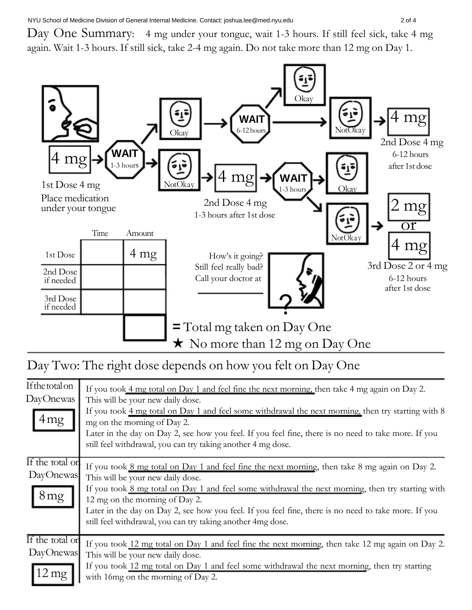Day One Summary: 4 mg under your tongue, wait 1-3 hours. If still feel sick, take 4 mg again. Wait 1-3 hours. If still sick, take 2-4 mg again. Do not take more than 12 mg on Day 1.



Day Two: The right dose depends on how you felt on Day One

| If the total on<br>DayOnewas<br>4mg            | If you took 4 mg total on Day 1 and feel fine the next morning, then take 4 mg again on Day 2.<br>This will be your new daily dose.<br>If you took 4 mg total on Day 1 and feel some withdrawal the next morning, then try starting with 8<br>mg on the morning of Day 2.<br>Later in the day on Day 2, see how you feel. If you feel fine, there is no need to take more. If you<br>still feel withdrawal, you can try taking another 4 mg dose. |
|------------------------------------------------|---------------------------------------------------------------------------------------------------------------------------------------------------------------------------------------------------------------------------------------------------------------------------------------------------------------------------------------------------------------------------------------------------------------------------------------------------|
| If the total or<br>DayOnewas<br>8mg            | If you took 8 mg total on Day 1 and feel fine the next morning, then take 8 mg again on Day 2.<br>This will be your new daily dose.<br>If you took 8 mg total on Day 1 and feel some withdrawal the next morning, then try starting with<br>12 mg on the morning of Day 2.<br>Later in the day on Day 2, see how you feel. If you feel fine, there is no need to take more. If you<br>still feel withdrawal, you can try taking another 4mg dose. |
| If the total or<br>DayOnewas<br>$2 \text{ mg}$ | If you took 12 mg total on Day 1 and feel fine the next morning, then take 12 mg again on Day 2.<br>This will be your new daily dose.<br>If you took 12 mg total on Day 1 and feel some withdrawal the next morning, then try starting<br>with 16mg on the morning of Day 2.                                                                                                                                                                      |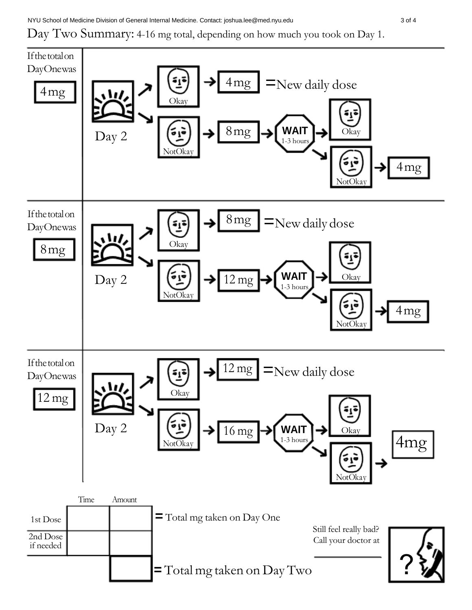## Day Two Summary: 4-16 mg total, depending on how much you took on Day 1.

![](_page_2_Figure_2.jpeg)